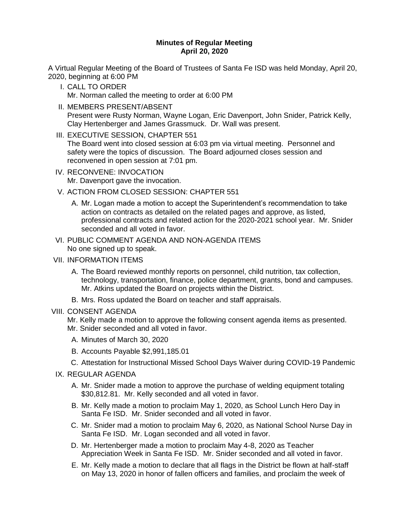# **Minutes of Regular Meeting April 20, 2020**

A Virtual Regular Meeting of the Board of Trustees of Santa Fe ISD was held Monday, April 20, 2020, beginning at 6:00 PM

- I. CALL TO ORDER Mr. Norman called the meeting to order at 6:00 PM
- II. MEMBERS PRESENT/ABSENT Present were Rusty Norman, Wayne Logan, Eric Davenport, John Snider, Patrick Kelly, Clay Hertenberger and James Grassmuck. Dr. Wall was present.
- III. EXECUTIVE SESSION, CHAPTER 551 The Board went into closed session at 6:03 pm via virtual meeting. Personnel and safety were the topics of discussion. The Board adjourned closes session and reconvened in open session at 7:01 pm.
- IV. RECONVENE: INVOCATION Mr. Davenport gave the invocation.
- V. ACTION FROM CLOSED SESSION: CHAPTER 551
	- A. Mr. Logan made a motion to accept the Superintendent's recommendation to take action on contracts as detailed on the related pages and approve, as listed, professional contracts and related action for the 2020-2021 school year. Mr. Snider seconded and all voted in favor.
- VI. PUBLIC COMMENT AGENDA AND NON-AGENDA ITEMS No one signed up to speak.
- VII. INFORMATION ITEMS
	- A. The Board reviewed monthly reports on personnel, child nutrition, tax collection, technology, transportation, finance, police department, grants, bond and campuses. Mr. Atkins updated the Board on projects within the District.
	- B. Mrs. Ross updated the Board on teacher and staff appraisals.

# VIII. CONSENT AGENDA

- Mr. Kelly made a motion to approve the following consent agenda items as presented. Mr. Snider seconded and all voted in favor.
- A. Minutes of March 30, 2020
- B. Accounts Payable \$2,991,185.01
- C. Attestation for Instructional Missed School Days Waiver during COVID-19 Pandemic
- IX. REGULAR AGENDA
	- A. Mr. Snider made a motion to approve the purchase of welding equipment totaling \$30,812.81. Mr. Kelly seconded and all voted in favor.
	- B. Mr. Kelly made a motion to proclaim May 1, 2020, as School Lunch Hero Day in Santa Fe ISD. Mr. Snider seconded and all voted in favor.
	- C. Mr. Snider mad a motion to proclaim May 6, 2020, as National School Nurse Day in Santa Fe ISD. Mr. Logan seconded and all voted in favor.
	- D. Mr. Hertenberger made a motion to proclaim May 4-8, 2020 as Teacher Appreciation Week in Santa Fe ISD. Mr. Snider seconded and all voted in favor.
	- E. Mr. Kelly made a motion to declare that all flags in the District be flown at half-staff on May 13, 2020 in honor of fallen officers and families, and proclaim the week of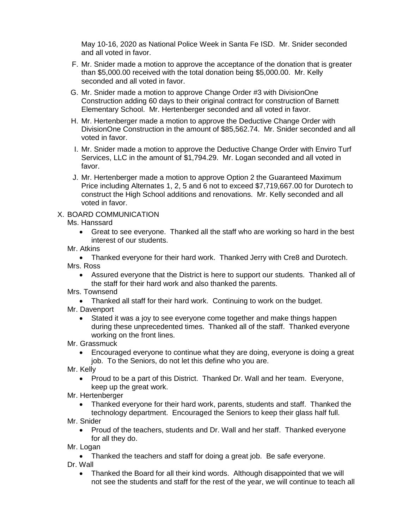May 10-16, 2020 as National Police Week in Santa Fe ISD. Mr. Snider seconded and all voted in favor.

- F. Mr. Snider made a motion to approve the acceptance of the donation that is greater than \$5,000.00 received with the total donation being \$5,000.00. Mr. Kelly seconded and all voted in favor.
- G. Mr. Snider made a motion to approve Change Order #3 with DivisionOne Construction adding 60 days to their original contract for construction of Barnett Elementary School. Mr. Hertenberger seconded and all voted in favor.
- H. Mr. Hertenberger made a motion to approve the Deductive Change Order with DivisionOne Construction in the amount of \$85,562.74. Mr. Snider seconded and all voted in favor.
- I. Mr. Snider made a motion to approve the Deductive Change Order with Enviro Turf Services, LLC in the amount of \$1,794.29. Mr. Logan seconded and all voted in favor.
- J. Mr. Hertenberger made a motion to approve Option 2 the Guaranteed Maximum Price including Alternates 1, 2, 5 and 6 not to exceed \$7,719,667.00 for Durotech to construct the High School additions and renovations. Mr. Kelly seconded and all voted in favor.

# X. BOARD COMMUNICATION

## Ms. Hanssard

- Great to see everyone. Thanked all the staff who are working so hard in the best interest of our students.
- Mr. Atkins

 Thanked everyone for their hard work. Thanked Jerry with Cre8 and Durotech. Mrs. Ross

- Assured everyone that the District is here to support our students. Thanked all of the staff for their hard work and also thanked the parents.
- Mrs. Townsend
	- Thanked all staff for their hard work. Continuing to work on the budget.
- Mr. Davenport
	- Stated it was a joy to see everyone come together and make things happen during these unprecedented times. Thanked all of the staff. Thanked everyone working on the front lines.
- Mr. Grassmuck
	- Encouraged everyone to continue what they are doing, everyone is doing a great job. To the Seniors, do not let this define who you are.
- Mr. Kelly
	- Proud to be a part of this District. Thanked Dr. Wall and her team. Everyone, keep up the great work.
- Mr. Hertenberger
	- Thanked everyone for their hard work, parents, students and staff. Thanked the technology department. Encouraged the Seniors to keep their glass half full.
- Mr. Snider
	- Proud of the teachers, students and Dr. Wall and her staff. Thanked everyone for all they do.
- Mr. Logan

• Thanked the teachers and staff for doing a great job. Be safe everyone.

- Dr. Wall
	- Thanked the Board for all their kind words. Although disappointed that we will not see the students and staff for the rest of the year, we will continue to teach all